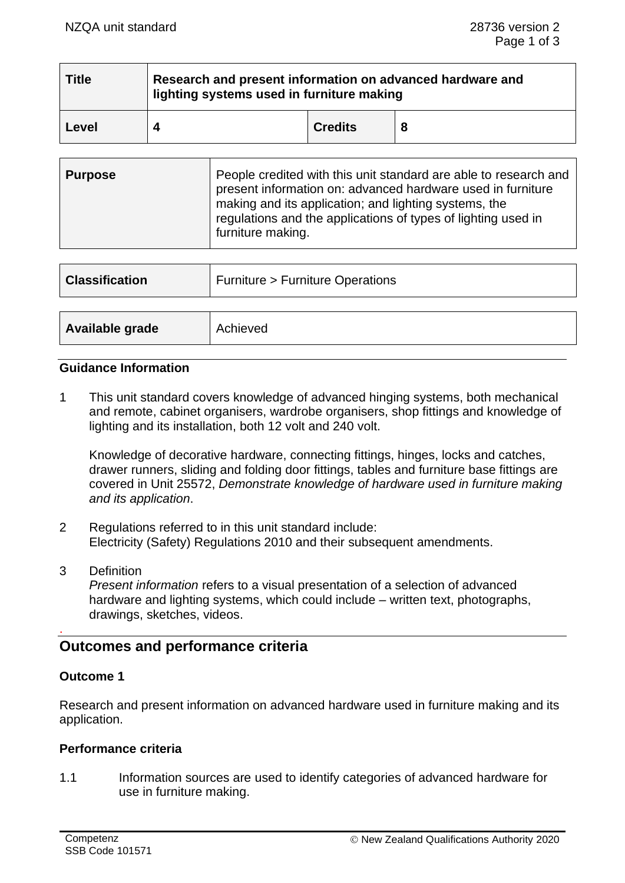| <b>Title</b> | Research and present information on advanced hardware and<br>lighting systems used in furniture making |                |  |  |
|--------------|--------------------------------------------------------------------------------------------------------|----------------|--|--|
| Level        |                                                                                                        | <b>Credits</b> |  |  |

| <b>Purpose</b> | People credited with this unit standard are able to research and<br>present information on: advanced hardware used in furniture<br>making and its application; and lighting systems, the<br>regulations and the applications of types of lighting used in<br>furniture making. |
|----------------|--------------------------------------------------------------------------------------------------------------------------------------------------------------------------------------------------------------------------------------------------------------------------------|
|----------------|--------------------------------------------------------------------------------------------------------------------------------------------------------------------------------------------------------------------------------------------------------------------------------|

| <b>Classification</b> | Furniture > Furniture Operations |  |
|-----------------------|----------------------------------|--|
|                       |                                  |  |
| Available grade       | Achieved                         |  |

#### **Guidance Information**

1 This unit standard covers knowledge of advanced hinging systems, both mechanical and remote, cabinet organisers, wardrobe organisers, shop fittings and knowledge of lighting and its installation, both 12 volt and 240 volt.

Knowledge of decorative hardware, connecting fittings, hinges, locks and catches, drawer runners, sliding and folding door fittings, tables and furniture base fittings are covered in Unit 25572, *Demonstrate knowledge of hardware used in furniture making and its application*.

- 2 Regulations referred to in this unit standard include: Electricity (Safety) Regulations 2010 and their subsequent amendments.
- 3 Definition *Present information* refers to a visual presentation of a selection of advanced hardware and lighting systems, which could include – written text, photographs, drawings, sketches, videos.

## **Outcomes and performance criteria**

## **Outcome 1**

.

Research and present information on advanced hardware used in furniture making and its application.

## **Performance criteria**

1.1 Information sources are used to identify categories of advanced hardware for use in furniture making.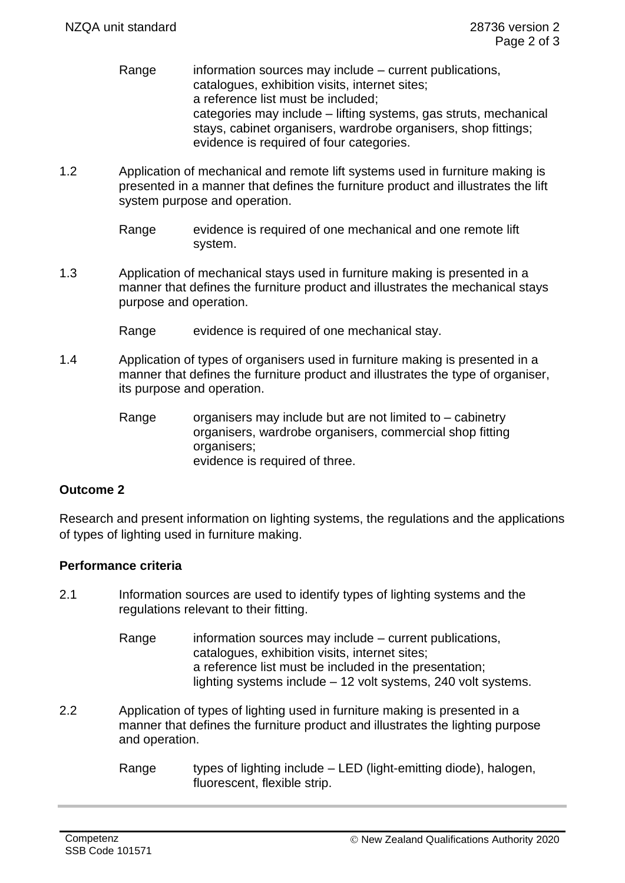- Range information sources may include current publications, catalogues, exhibition visits, internet sites; a reference list must be included; categories may include – lifting systems, gas struts, mechanical stays, cabinet organisers, wardrobe organisers, shop fittings; evidence is required of four categories.
- 1.2 Application of mechanical and remote lift systems used in furniture making is presented in a manner that defines the furniture product and illustrates the lift system purpose and operation.
	- Range evidence is required of one mechanical and one remote lift system.
- 1.3 Application of mechanical stays used in furniture making is presented in a manner that defines the furniture product and illustrates the mechanical stays purpose and operation.
	- Range evidence is required of one mechanical stay.
- 1.4 Application of types of organisers used in furniture making is presented in a manner that defines the furniture product and illustrates the type of organiser, its purpose and operation.
	- Range organisers may include but are not limited to cabinetry organisers, wardrobe organisers, commercial shop fitting organisers; evidence is required of three.

## **Outcome 2**

Research and present information on lighting systems, the regulations and the applications of types of lighting used in furniture making.

## **Performance criteria**

- 2.1 Information sources are used to identify types of lighting systems and the regulations relevant to their fitting.
	- Range information sources may include current publications, catalogues, exhibition visits, internet sites; a reference list must be included in the presentation; lighting systems include – 12 volt systems, 240 volt systems.
- 2.2 Application of types of lighting used in furniture making is presented in a manner that defines the furniture product and illustrates the lighting purpose and operation.
	- Range types of lighting include  $-$  LED (light-emitting diode), halogen, fluorescent, flexible strip.